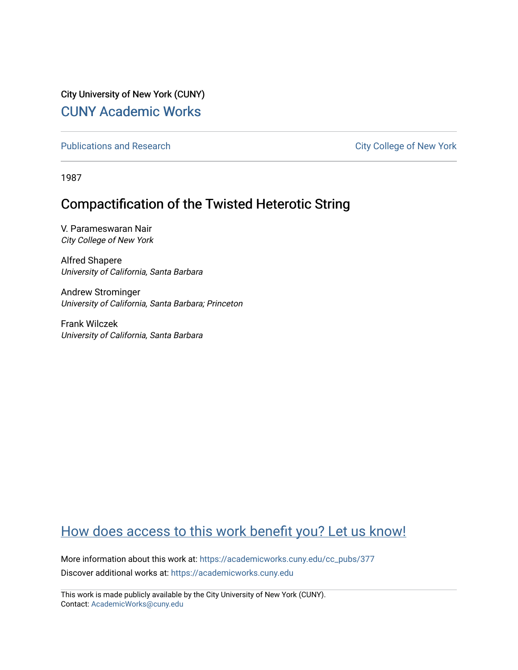City University of New York (CUNY) [CUNY Academic Works](https://academicworks.cuny.edu/) 

[Publications and Research](https://academicworks.cuny.edu/cc_pubs) **City College of New York** Publications and Research

1987

## Compactification of the Twisted Heterotic String

V. Parameswaran Nair City College of New York

Alfred Shapere University of California, Santa Barbara

Andrew Strominger University of California, Santa Barbara; Princeton

Frank Wilczek University of California, Santa Barbara

# [How does access to this work benefit you? Let us know!](http://ols.cuny.edu/academicworks/?ref=https://academicworks.cuny.edu/cc_pubs/377)

More information about this work at: [https://academicworks.cuny.edu/cc\\_pubs/377](https://academicworks.cuny.edu/cc_pubs/377)  Discover additional works at: [https://academicworks.cuny.edu](https://academicworks.cuny.edu/?)

This work is made publicly available by the City University of New York (CUNY). Contact: [AcademicWorks@cuny.edu](mailto:AcademicWorks@cuny.edu)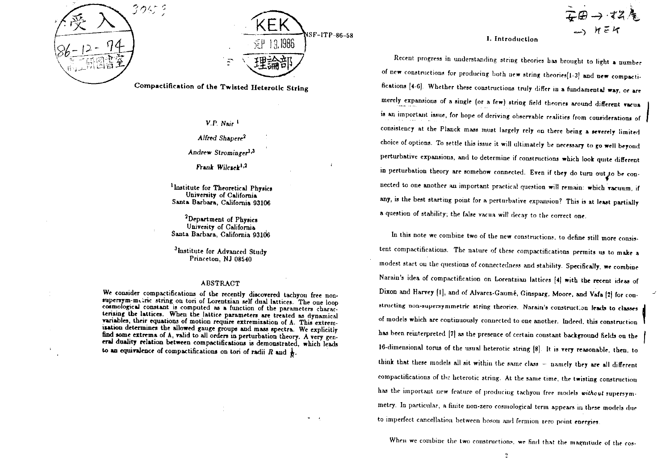

ISF-ITP-86-58 13.1986  $\overline{\Gamma}$ 



## $V.P.$  Nair<sup>1</sup>

## Alfred Shapere<sup>2</sup>

### Andrew Strominger<sup>1,3</sup>

Frank Wilczek<sup>1,2</sup>

### <sup>1</sup> Institute for Theoretical Physics University of California Santa Barbara, California 93106

<sup>2</sup>Department of Physics Univesity of California Santa Barbara, California 93106

<sup>3</sup>Institute for Advanced Study Princeton, NJ 08540

#### **ABSTRACT**

We consider compactifications of the recently discovered tachyou free nonsupersym-metric string on tori of Lorentzian self dual lattices. The one loop cosmological constant is computed as a function of the parameters characteriting the lattices. When the lattice parameters are treated as dynamical variables, their equations of motion require extremization of A. This extremization determines the allowed gauge groups and mass spectra. We explicitly find some extrema of A, valid to all orders in perturbation theory. A very general duality relation between compactifications is demonstrated, which leads to an equivalence of compactifications on tori of radii R and  $\frac{1}{R}$ .

#### I. Introduction

Recent progress in understanding string theories has brought to light a number of new constructions for producing both new string theories[1-3] and new compactifications [4-6]. Whether these constructions truly differ in a fundamental way, or are merely expansions of a single (or a few) string field theories around different vacua is an important issue, for hope of deriving observable realities from considerations of consistency at the Planck mass must largely rely on there being a severely limited choice of options. To settle this issue it will ultimately be necessary to go well beyond perturbative expansions, and to determine if constructions which look quite different in perturbation theory are somehow connected. Even if they do turn out to be connected to one another an important practical question will remain: which vacuum, if any, is the best starting point for a perturbative expansion? This is at least partially a question of stability; the false vacua will decay to the correct one.

In this note we combine two of the new constructions, to define still more consistent compactifications. The nature of these compactifications permits us to make a modest start on the questions of connectedness and stability. Specifically, we combine Narain's idea of compactification on Lorentzian lattices [4] with the recent ideas of Dixon and Harvey [1], and of Alvarez-Gaumé, Ginsparg, Moore, and Vafa [2] for constructing non-supersymmetric string theories. Narain's construction leads to classes of models which are continuously connected to one another. Indeed, this construction has been reinterpreted [7] as the presence of certain constant background fields on the 16-dimensional torus of the usual heterotic string [8]. It is very reasonable, then, to think that these models all sit within the same class - namely they are all different compactifications of the heterotic string. At the same time, the twisting construction has the important new feature of producing tachyon free models without supersymmetry. In particular, a finite non-zero cosmological term appears in these models due to imperfect cancellation between boson and fermion zero point energies

When we combine the two constructions, we find that the magnitude of the cos-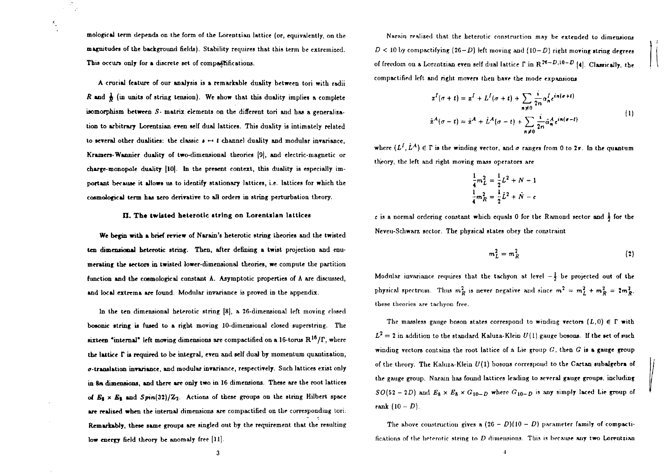mological term depends on the form of the Lorentzian lattice for, equivalently, on the magnitudes of the background fields). Stability requires that this term be extremized. This occurs only for a discrete set of compactifications.

A crucial feature of our analysis is a remarkable duality between tori with radii R and  $\frac{1}{D}$  (in units of string tension). We show that this duality implies a complete isomorphism between  $S<sub>1</sub>$  matrix elements on the different tori and has a generalization to arbitrary Lorentzian even self dual lattices. This duality is intimately related to several other dualities: the classic  $s \leftrightarrow t$  channel duality and modular invariance. Kramers-Wannier duality of two-dimensional theories [9], and electric-magnetic or charge-monopole duality [10]. In the present context, this duality is especially important because it allows us to identify stationary lattices, i.e. lattices for which the cosmological term has zero derivative to all orders in string perturbation theory.

#### II. The twisted heterotic string on Lorentzian lattices

We begin with a brief review of Narain's heterotic string theories and the twisted ten dimensional heterotic string. Then, after defining a twist projection and enumerating the sectors in twisted lower-dimensional theories, we compute the partition function and the cosmological constant A. Asymptotic properties of A are discussed, and local extrema are found. Modular invariance is proved in the appendix.

In the ten dimensional heterotic string [8], a 26-dimensional left moving closed bosonic string is fused to a right moving 10-dimensional closed superstring. The sixteen "internal" left moving dimensions are compactified on a 16-torus  $R^{16}/\Gamma$ , where the lattice  $\Gamma$  is required to be integral, even and self dual by momentum quantization,  $\sigma$ -translation invariance, and modular invariance, respectively. Such lattices exist only in 8n dimensions, and there are only two in 16 dimensions. These are the root lattices of  $E_3 \times E_3$  and  $Spin(32)/\mathbb{Z}_2$ . Actions of these groups on the string Hilbert space are realized when the internal dimensions are compactified on the corresponding tori. Remarkably, these same groups are singled out by the requirement that the resulting low energy field theory be anomaly free  $[11]$ .

Narain realized that the heterotic construction may be extended to dimensions  $D < 10$  by compactifying (26-D) left moving and (10-D) right moving string degrees of freedom on a Lorentzian even self dual lattice  $\Gamma$  in  $R^{26-D,10-D}$  [4]. Classically, the compactified left and right movers then have the mode expansions

$$
z^{I}(\sigma+t) = z^{I} + L^{I}(\sigma+t) + \sum_{n \neq 0} \frac{i}{2n} \alpha_{n}^{I} e^{in(\sigma+t)}
$$
  

$$
\tilde{z}^{A}(\sigma-t) = \tilde{z}^{A} + \tilde{L}^{A}(\sigma-t) + \sum_{n \neq 0} \frac{i}{2n} \tilde{\alpha}_{n}^{A} e^{in(\sigma-t)}
$$
(1)

where  $(L^I, \hat{L}^A) \in \Gamma$  is the winding vector, and  $\sigma$  ranges from 0 to  $2\pi$ . In the quantum theory, the left and right moving mass operators are

$$
\frac{1}{4}m_L^2 = \frac{1}{2}L^2 + N - 1
$$

$$
\frac{1}{4}m_R^2 = \frac{1}{2}\dot{L}^2 + \dot{N} - c
$$

c is a normal ordering constant which equals 0 for the Ramond sector and  $\frac{1}{2}$  for the Neveu-Schwarz sector. The physical states obey the constraint

$$
m_L^2 = m_R^2 \tag{2}
$$

Modular invariance requires that the tachyon at level  $-\frac{1}{2}$  be projected out of the physical spectrum. Thus  $m_R^2$  is never negative and since  $m^2 = m_L^2 + m_R^2 = 2m_R^2$ . these theories are tachyon free.

The massless gauge boson states correspond to winding vectors  $(L,0) \in \Gamma$  with  $L^2 = 2$  in addition to the standard Kaluza-Klein  $U(1)$  gauge bosons. If the set of such winding vectors contains the root lattice of a Lie group  $G$ , then  $G$  is a gauge group of the theory. The Kaluza-Klein  $U(1)$  bosons correspond to the Cartan subalgebra of the gauge group. Narain has found lattices leading to several gauge groups, including  $SO(52-2D)$  and  $E_8 \times E_8 \times G_{10-D}$  where  $G_{10-D}$  is any simply laced Lie group of rank  $(10 - D)$ .

The above construction gives a  $(26 - D)(10 - D)$  parameter family of compactifications of the heterotic string to D dimensions. This is because any two Lorentzian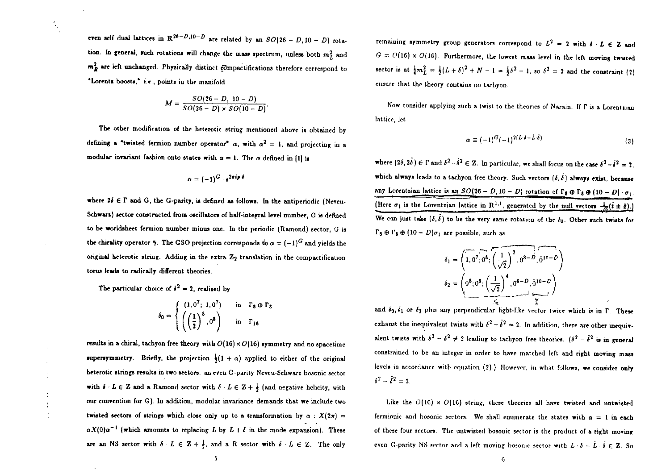even self dual lattices in  $\mathbb{R}^{26-D,10-D}$  are related by an  $SO(26-D,10-D)$  rotation. In general, such rotations will change the mass spectrum, unless both  $m_L^2$  and  $m_B^2$  are left unchanged. Physically distinct compactifications therefore correspond to "Lorents boosts," *i.e.*, points in the manifold

$$
M = \frac{SO(26-D, 10-D)}{SO(26-D) \times SO(10-D)}
$$

The other modification of the heterotic string mentioned above is obtained by defining a "twisted fermion number operator"  $\alpha$ , with  $\alpha^2 = 1$ , and projecting in a modular invariant fashion onto states with  $\alpha = 1$ . The  $\alpha$  defined in [1] is

$$
\alpha = (-1)^G \cdot e^{2\pi i p \cdot \delta}
$$

where  $2\delta \in \Gamma$  and G, the G-parity, is defined as follows. In the antiperiodic (Neveu-Schwarz) sector constructed from oscillators of half-integral level number, G is defined to be worldsheet fermion number minus one. In the periodic (Ramond) sector, G is the chirality operator  $\gamma$ . The GSO projection corresponds to  $\alpha = (-1)^G$  and yields the original heterotic string. Adding in the extra  $\mathbb{Z}_2$  translation in the compactification torus leads to radically different theories.

The particular choice of  $\delta^2 = 2$ , realized by

$$
\delta_0 = \begin{cases} (1,0^7; 1,0^7) & \text{in} \quad \Gamma_8 \oplus \Gamma_8 \\ \left( \left( \frac{1}{2} \right)^8, 0^8 \right) & \text{in} \quad \Gamma_{16} \end{cases}
$$

results in a chiral, tachyon free theory with  $O(16) \times O(16)$  symmetry and no spacetime supersymmetry. Briefly, the projection  $\frac{1}{2}(1 + \alpha)$  applied to either of the original heterotic strings results in two sectors: an even G-parity Neveu-Schwarz bosonic sector with  $\delta \cdot L \in \mathbb{Z}$  and a Ramond sector with  $\delta \cdot L \in \mathbb{Z} + \frac{1}{2}$  (and negative helicity, with our convention for G). In addition, modular invariance demands that we include two twisted sectors of strings which close only up to a transformation by  $\alpha$  :  $X(2\pi)$  =  $\alpha X(0)\alpha^{-1}$  (which amounts to replacing L by  $L + \delta$  in the mode expansion). These are an NS sector with  $\delta L \in \mathbb{Z} + \frac{1}{2}$ , and a R sector with  $\delta L \in \mathbb{Z}$ . The only

remaining symmetry group generators correspond to  $L^2 = 2$  with  $\delta \cdot L \in \mathbb{Z}$  and  $G = O(16) \times O(16)$ . Furthermore, the lowest mass level in the left moving twisted sector is at  $\frac{1}{4}m_L^2 = \frac{1}{2}(L+\delta)^2 + N - 1 = \frac{1}{2}\delta^2 - 1$ , so  $\delta^2 = 2$  and the constraint (2) ensure that the theory contains no tachyon.

Now consider applying such a twist to the theories of Narain. If I is a Lorentzian lattice, let

$$
\alpha \equiv (-1)^{G}(-1)^{2(L \cdot \delta - \tilde{L} \cdot \tilde{\delta})}
$$
\n(3)

where  $(2\delta, 2\dot{\delta}) \in \Gamma$  and  $\delta^2 - \dot{\delta}^2 \in \mathbb{Z}$ . In particular, we shall focus on the case  $\delta^2 - \dot{\delta}^2 = 2$ . which always leads to a tachyon free theory. Such vectors  $(\delta, \tilde{\delta})$  always exist, because any Lorentzian lattice is an  $SO(26 - D, 10 - D)$  rotation of  $\Gamma_8 \oplus \Gamma_8 \oplus (10 - D) \cdot \sigma_1$ . (Here  $\sigma_1$  is the Lorentzian lattice in  $\mathbb{R}^{1,1}$ , generated by the null vectors  $\frac{1}{\sqrt{2}}(i \pm i)$ .) We can just take  $(\delta, \dot{\delta})$  to be the very same rotation of the  $\delta_0$ . Other such twists for  $\Gamma_8 \oplus \Gamma_8 \oplus (10 - D)\sigma_1$  are possible, such as

$$
\delta_1 = \left(1, 0^7, 0^8, \left(\frac{1}{\sqrt{2}}\right)^2, 0^{8-D}, 0^{10-D}\right)
$$

$$
\delta_2 = \left(0^8, 0^8, \left(\frac{1}{\sqrt{2}}\right)^4, 0^{6-D}, 0^{10-D}\right)
$$

and  $\delta_0, \delta_1$  or  $\delta_2$  plus any perpendicular light-like vector twice which is in  $\Gamma$ . These exhaust the inequivalent twists with  $\delta^2 - \dot{\delta}^2 = 2$ . In addition, there are other inequivalent twists with  $\delta^2 - \dot{\delta}^2 \neq 2$  leading to tachyon free theories.  $(\delta^2 - \dot{\delta}^2)$  is in general constrained to be an integer in order to have matched left and right moving mass levels in accordance with equation (2).) However, in what follows, we consider only  $\delta^2 - \tilde{\delta}^2 = 2$ .

Like the  $O(16) \times O(16)$  string, these theories all have twisted and untwisted fermionic and bosonic sectors. We shall enumerate the states with  $\alpha = 1$  in each of these four sectors. The untwisted bosonic sector is the product of a right moving even G-parity NS sector and a left moving bosonic sector with  $L \cdot \delta - \dot{L} \cdot \dot{\delta} \in \mathbb{Z}$ . So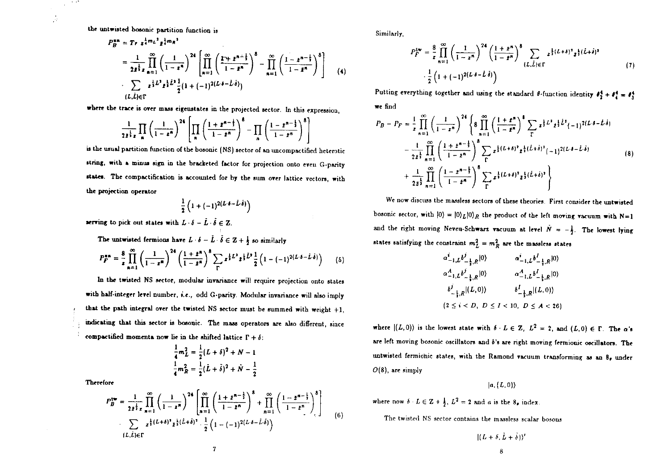the untwisted bosonic partition function is

 $\sim 100$  $\alpha$ 

 $\frac{1}{2}$ 

$$
P_B^{\text{sa}} = Tr \ z^{\frac{1}{4}m_L^3} \ z^{\frac{1}{4}m_R^3}
$$
  
= 
$$
\frac{1}{2z^{\frac{1}{2}} z} \prod_{n=1}^{\infty} \left( \frac{1}{1-z^n} \right)^{24} \left[ \prod_{n=1}^{\infty} \left( \frac{z + z^{n-\frac{1}{2}}}{1-z^n} \right)^8 - \prod_{n=1}^{\infty} \left( \frac{1-z^{n-\frac{1}{2}}}{1-z^n} \right)^8 \right]
$$
  

$$
\sum_{(L,L) \in \Gamma} z^{\frac{1}{4}L^3} z^{\frac{1}{4}L^3} \frac{1}{2} (1+(-1)^{2(L\cdot\delta-\tilde{L}\cdot\tilde{\delta})})
$$
 (4)

where the trace is over mass eigenstates in the projected sector. In this expression,

$$
\frac{1}{2z\frac{1}{2}z}\prod_{n}\left(\frac{1}{1-z^{n}}\right)^{24}\left[\prod_{n}\left(\frac{1+z^{n-\frac{1}{2}}}{1-z^{n}}\right)^{8}-\prod_{n}\left(\frac{1-z^{n-\frac{1}{2}}}{1-z^{n}}\right)^{8}\right]
$$

is the usual partition function of the bosonic (NS) sector of an uncompactified heterotic string, with a minus sign in the bracketed factor for projection onto even G-parity states. The compactification is accounted for by the sum over lattice vectors, with the projection operator

$$
\frac{1}{2}\left(1+(-1)^{2(L\cdot\delta-\tilde{L}\cdot\tilde{\delta})}\right)
$$

serving to pick out states with  $L \cdot \delta - \tilde{L} \cdot \tilde{\delta} \in \mathbb{Z}$ .

The untwisted fermions have  $L \cdot \delta - \tilde{L} \cdot \tilde{\delta} \in \mathbb{Z} + \frac{1}{2}$  so similarly

$$
P_F^{\mathbf{m}} = \frac{8}{z} \prod_{n=1}^{\infty} \left( \frac{1}{1 - z^n} \right)^{24} \left( \frac{1 + z^n}{1 - z^n} \right)^8 \sum_{\Gamma} z^{\frac{1}{2} L^2} z^{\frac{1}{2} L^3} \frac{1}{2} \left( 1 - (-1)^{2(L \cdot \delta - \tilde{L} \cdot \tilde{\delta})} \right) \tag{5}
$$

In the twisted NS sector, modular invariance will require projection onto states with half-integer level number, i.e., odd G-parity. Modular invariance will also imply that the path integral over the twisted NS sector must be summed with weight  $+1$ . indicating that this sector is bosonic. The mass operators are also different, since compactified momenta now lie in the shifted lattice  $\Gamma + \delta$ :

$$
\frac{1}{4}m_L^2 = \frac{1}{2}(L+\delta)^2 + N - 1
$$

$$
\frac{1}{4}m_R^2 = \frac{1}{2}(\dot{L}+\dot{\delta})^2 + \dot{N} - \frac{1}{2}
$$

Therefore

$$
P_B^{\text{tw}} = \frac{1}{2z \frac{1}{2z} \prod_{n=1}^{\infty} \left( \frac{1}{1 - z^n} \right)^{24} \left[ \prod_{n=1}^{\infty} \left( \frac{1 + z^{n - \frac{1}{2}}}{1 - z^n} \right)^8 + \prod_{n=1}^{\infty} \left( \frac{1 - z^{n - \frac{1}{2}}}{1 - z^n} \right)^8 \right]
$$
  
 
$$
\sum_{\{L, L\} \in \Gamma} z^{\frac{1}{4} (L + \delta)^2} \overline{z}^{\frac{1}{4} (\dot{L} + \dot{\delta})^2} \cdot \frac{1}{2} \left( 1 - (-1)^{2(L \cdot \delta - \dot{L} \cdot \dot{\delta})} \right)
$$
(6)

Similarly,

$$
P_F^{\text{tw}} = \frac{8}{z} \prod_{n=1}^{\infty} \left( \frac{1}{1 - z^n} \right)^{24} \left( \frac{1 + z^n}{1 - z^n} \right)^8 \sum_{\{L, \hat{L}\} \in \Gamma} z^{\frac{1}{2}(L + \delta)^2} z^{\frac{1}{2}(\hat{L} + \hat{\delta})^2}
$$
  
 
$$
\cdot \frac{1}{2} \left( 1 + (-1)^{2(L \cdot \delta - \hat{L} \cdot \hat{\delta})} \right)
$$
 (7)

Putting everything together and using the standard 8-function identity  $\theta_2^4 + \theta_4^4 = \theta_3^4$ we find

$$
P_B - P_F = \frac{1}{z} \prod_{n=1}^{\infty} \left( \frac{1}{1 - z^n} \right)^{24} \left\{ 8 \prod_{n=1}^{\infty} \left( \frac{1 + z^n}{1 - z^n} \right)^8 \sum_{\Gamma} z^{\frac{1}{2} L^2} z^{\frac{1}{2} L^2} (-1)^{2(L \cdot \delta - \tilde{L} \cdot \delta)} - \frac{1}{2 z^{\frac{1}{2}}} \prod_{n=1}^{\infty} \left( \frac{1 + z^{n - \frac{1}{2}}}{1 - z^n} \right)^8 \sum_{\Gamma} z^{\frac{1}{2} (L + \delta)^2} z^{\frac{1}{2} (\tilde{L} + \delta)^2} (-1)^{2(L \cdot \delta - \tilde{L} \cdot \delta)} + \frac{1}{2 z^{\frac{1}{2}}} \prod_{n=1}^{\infty} \left( \frac{1 - z^{n - \frac{1}{2}}}{1 - z^n} \right)^8 \sum_{\Gamma} z^{\frac{1}{2} (L + \delta)^2} z^{\frac{1}{2} (\tilde{L} + \tilde{\delta})^2} \right\}
$$
(8)

We now discuss the massless sectors of these theories. First consider the untwisted bosonic sector, with  $|0\rangle = |0\rangle_L |0\rangle_R$  the product of the left moving vacuum with N=1 and the right moving Neveu-Schwarz vacuum at level  $\tilde{N} = -\frac{1}{2}$ . The lowest lying states satisfying the constraint  $m_L^2 = m_R^2$  are the massless states

$$
\alpha_{-1,L}^{i} b_{-\frac{1}{2},R}^{j} |0\rangle \qquad \alpha_{-1,L}^{i} b_{-\frac{1}{2},R}^{j} |0\rangle
$$
\n
$$
\alpha_{-1,L}^{A} b_{-\frac{1}{2},R}^{j} |0\rangle \qquad \alpha_{-1,L}^{A} b_{-\frac{1}{2},R}^{j} |0\rangle
$$
\n
$$
b_{-\frac{1}{2},R}^{j} |(L,0)\rangle \qquad \qquad b_{-\frac{1}{2},R}^{I} |(L,0)\rangle
$$
\n
$$
\{2 \le i < D, D \le I < 10, D \le A < 26\}
$$

where  $|(L,0)\rangle$  is the lowest state with  $\delta \cdot L \in \mathbb{Z}$ ,  $L^2 = 2$ , and  $(L,0) \in \Gamma$ . The a's are left moving bosonic oscillators and  $b$ 's are right moving fermionic oscillators. The untwisted fermionic states, with the Ramond vacuum transforming as an 8, under  $O(8)$ , are simply

 $|a,(L,0)\rangle$ 

where now  $\delta \cdot L \in \mathbb{Z} + \frac{1}{2}$ ,  $L^2 = 2$  and a is the  $8_e$  index.

The twisted NS sector contains the massless scalar bosons

 $[(L+\delta, \dot{L}+\dot{\delta})]$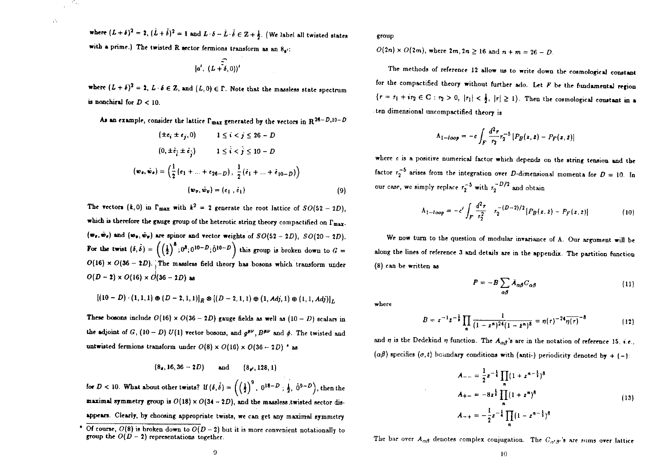where  $(L+\delta)^2 = 2$ ,  $(\dot{L}+\dot{\delta})^2 = 1$  and  $L \cdot \delta - \dot{L} \cdot \dot{\delta} \in \mathbb{Z} + \frac{1}{2}$ . (We label all twisted states with a prime.) The twisted R sector fermions transform as an  $8_{a'}$ :

 $\mathcal{N}_{\text{max}}$ 

 $\mathcal{E}_{\mathbf{X}}$ 

$$
|a', (L+\widehat{\delta},0)\rangle'
$$

where  $(L + \delta)^2 = 2$ ,  $L \cdot \delta \in \mathbb{Z}$ , and  $(L, 0) \in \Gamma$ . Note that the massless state spectrum is nonchiral for  $D < 10$ .

As an example, consider the lattice  $\Gamma_{\text{max}}$  generated by the vectors in  $\mathbb{R}^{26-D_110-D}$ 

$$
(\pm e_i \pm e_j, 0) \qquad 1 \leq i < j \leq 26 - D
$$
\n
$$
(0, \pm \tilde{e}_i \pm \tilde{e}_j) \qquad 1 \leq i < j \leq 10 - D
$$
\n
$$
(\mathbf{w}_e, \tilde{\mathbf{w}}_e) = \left(\frac{1}{2}(e_1 + \ldots + e_{26-D}), \frac{1}{2}(\tilde{e}_1 + \ldots + \tilde{e}_{10-D})\right)
$$
\n
$$
(\mathbf{w}_e, \tilde{\mathbf{w}}_v) = (e_1, \tilde{e}_1) \tag{9}
$$

The vectors  $(k,0)$  in  $\Gamma_{\text{max}}$  with  $k^2 = 2$  generate the root lattice of  $SO(52 - 2D)$ , which is therefore the gauge group of the heterotic string theory compactified on  $\Gamma_{\text{max}}$ .  $(\mathbf{w}_{\mathbf{r}}, \dot{\mathbf{w}}_{\mathbf{r}})$  and  $(\mathbf{w}_{\mathbf{r}}, \dot{\mathbf{w}}_{\mathbf{r}})$  are spinor and vector weights of  $SO(52 - 2D)$ ,  $SO(20 - 2D)$ . For the twist  $(\delta, \delta) = ((\frac{1}{2})^{\delta}; 0^{\delta}; 0^{10-D}; 0^{10-D})$  this group is broken down to  $G =$  $O(16) \times O(36-2D)$ . The massless field theory has bosons which transform under  $O(D-2) \times O(16) \times O(36-2D)$  as

$$
[(10-D)\cdot (1,1,1) \oplus (D-2,1,1)]_R \otimes [(D-2,1,1) \oplus (1,Adj,1) \oplus (1,1,Adj)]_L
$$

These bosons include  $O(16) \times O(36 - 2D)$  gauge fields as well as  $(10 - D)$  scalars in the adjoint of G,  $(10 - D) U(1)$  vector bosons, and  $g^{\mu\nu}$ ,  $B^{\mu\nu}$  and  $\phi$ . The twisted and untwisted fermions transform under  $O(8) \times O(16) \times O(36-2D)$  \* as

$$
(8_e, 16, 36-2D)
$$
 and  $(8_e, 128, 1)$ 

for  $D < 10$ . What about other twists? If  $(\delta, \delta) = \left( \left( \frac{1}{2} \right)^9, 0^{18-D} \frac{1}{2}, 0^{9-D} \right)$ , then the maximal symmetry group is  $O(18) \times O(34 - 2D)$ , and the massless twisted sector disappears. Clearly, by choosing appropriate twists, we can get any maximal symmetry

group

 $O(2n) \times O(2m)$ , where  $2m, 2n \ge 16$  and  $n + m = 26 - D$ .

The methods of reference 12 allow us to write down the cosmological constant for the compactified theory without further ado. Let  $F$  be the fundamental region  $\{r = r_1 + i r_2 \in \mathbb{C} : r_2 > 0, |r_1| < \frac{1}{2}, |r| \geq 1\}$ . Then the cosmological constant in a ten dimensional uncompactified theory is

$$
\Lambda_{1-loop}=-c\int_F\frac{d^2r}{r_2}r_2^{-5}\left[P_B(z,z)-P_F(z,z)\right]
$$

where c is a positive numerical factor which depends on the string tension and the factor  $\tau_2^{-5}$  arises from the integration over *D*-dimensional momenta for  $D = 10$ . In our case, we simply replace  $r_2^{-5}$  with  $r_2^{-D/2}$  and obtain

$$
\Lambda_{1-loop} = -c' \int_F \frac{d^2r}{r_2^2} \quad r_2^{-(D-2)/2} [P_B(z, \bar{z}) - P_F(z, \bar{z})] \tag{10}
$$

We now turn to the question of modular invariance of A. Our argument will be along the lines of reference 3 and details are in the appendix. The partition function  $(8)$  can be written as

$$
P = -B \sum_{\alpha\beta} \lambda_{\alpha\beta} C_{\alpha\beta} \tag{11}
$$

where

$$
B = z^{-1}z^{-\frac{1}{2}}\prod_{n}\frac{1}{(1-z^n)^{24}(1-z^n)^8} = \eta(r)^{-24}\overline{\eta(r)}^{-8}
$$
 (12)

and  $\eta$  is the Dedekind  $\eta$  function. The  $A_{\alpha\beta}$ 's are in the notation of reference 15, i.e.,  $(\alpha\beta)$  specifies  $(\sigma, t)$  boundary conditions with (anti-) periodicity denoted by + (-):

$$
A_{--} = \frac{1}{2}z^{-\frac{1}{6}}\prod_{n}(1+z^{n-\frac{1}{2}})^{8}
$$
  
\n
$$
A_{+-} = -8z^{\frac{1}{8}}\prod_{n}(1+z^{n})^{6}
$$
  
\n
$$
A_{-+} = -\frac{1}{2}z^{-\frac{1}{4}}\prod_{n}(1-z^{n-\frac{1}{2}})^{8}
$$
 (13)

The bar over  $A_{\alpha\beta}$  denotes complex conjugation. The  $C_{\alpha'\beta'}$ 's are sums over lattice

<sup>•</sup> Of course,  $O(8)$  is broken down to  $O(D-2)$  but it is more convenient notationally to group the  $O(D-2)$  representations together.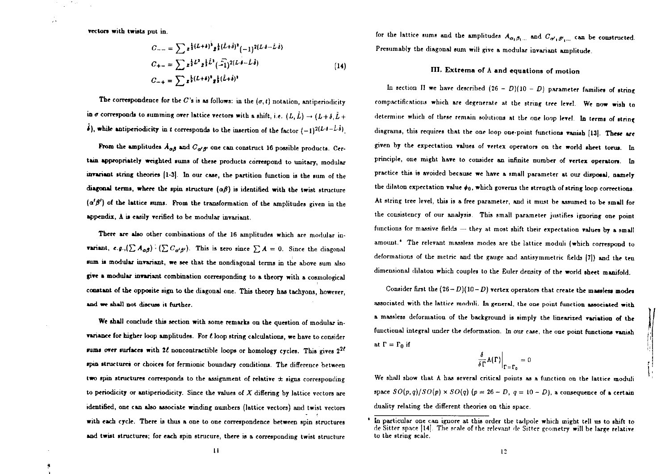vectors with twists put in.

$$
C_{--} = \sum z^{\frac{1}{2}(L+\delta)^{\frac{1}{2}}} z^{\frac{1}{2}(\tilde{L}+\tilde{\delta})^{\delta}} (-1)^{2(L\cdot\delta-\tilde{L}\cdot\tilde{\delta})}
$$
  
\n
$$
C_{+-} = \sum z^{\frac{1}{2}L^2} z^{\frac{1}{2}\tilde{L}^{\delta}} (\tilde{-1})^{2(L\cdot\delta-\tilde{L}\cdot\tilde{\delta})}
$$
  
\n
$$
C_{-+} = \sum z^{\frac{1}{2}(L+\delta)^{\delta}} z^{\frac{1}{2}(\tilde{L}+\tilde{\delta})^{\delta}}
$$
\n(14)

The correspondence for the C's is as follows: in the  $(\sigma, t)$  notation, antiperiodicity in  $\sigma$  corresponds to summing over lattice vectors with a shift, i.e.  $(L, L) \rightarrow (L + \delta, L +$  $\hat{\delta}$ ), while antiperiodicity in t corresponds to the insertion of the factor  $(-1)^{2(L \cdot \delta - \hat{L} \cdot \hat{\delta})}$ .

From the amplitudes  $\tilde{A}_{\alpha\beta}$  and  $C_{\alpha'\beta'}$  one can construct 16 possible products. Certain appropriately weighted sums of these products correspond to unitary, modular invariant string theories [1-3]. In our case, the partition function is the sum of the diagonal terms, where the spin structure  $(\alpha\beta)$  is identified with the twist structure  $(\alpha' \beta')$  of the lattice sums. From the transformation of the amplitudes given in the appendix, A is easily verified to be modular invariant.

There are also other combinations of the 16 amplitudes which are modular in**variant,** e.g., $(\sum A_{\alpha\beta}) \cdot (\sum C_{\alpha'\beta'})$ . This is zero since  $\sum A = 0$ . Since the diagonal sum is modular invariant, we see that the nondiagonal terms in the above sum also give a modular invariant combination corresponding to a theory with a cosmological constant of the opposite sign to the diagonal one. This theory has tachyons, however, and we shall not discuss it further.

We shall conclude this section with some remarks on the question of modular invariance for higher loop amplitudes. For  $\ell$  loop string calculations, we have to consider sums over surfaces with 20 noncontractible loops or homology cycles. This gives  $2^{2\ell}$ spin structures or choices for fermionic boundary conditions. The difference between two spin structures corresponds to the assignment of relative  $\pm$  signs corresponding to periodicity or antiperiodicity. Since the values of  $X$  differing by lattice vectors are identified, one can also associate winding numbers (lattice vectors) and twist vectors with each cycle. There is thus a one to one correspondence between spin structures and twist structures: for each spin strucure, there is a corresponding twist structure for the lattice sums and the amplitudes  $A_{\alpha_1\beta_1...}$  and  $C_{\alpha'_1\beta'_1...}$  can be constructed. Presumably the diagonal sum will give a modular invariant amplitude.

## III. Extrema of A and equations of motion

In section II we have described  $(26 - D)(10 - D)$  parameter families of string compactifications which are degenerate at the string tree level. We now wish to determine which of these remain solutions at the one loop level. In terms of string diagrams, this requires that the one loop one-point functions vanish [13]. These are given by the expectation values of vertex operators on the world sheet torus. In principle, one might have to consider an infinite number of vertex operators. In practice this is avoided because we have a small parameter at our disposal, namely the dilaton expectation value  $\phi_0$ , which governs the strength of string loop corrections At string tree level, this is a free parameter, and it must be assumed to be small for the consistency of our analysis. This small parameter justifies ignoring one point functions for massive fields  $-$  they at most shift their expectation values by a small amount.<sup>\*</sup> The relevant massless modes are the lattice moduli (which correspond to deformations of the metric and the gauge and antisymmetric fields [7]) and the ten dimensional dilaton which couples to the Euler density of the world sheet manifold.

Consider first the  $(26-D)(10-D)$  vertex operators that create the massless modes associated with the lattice moduli. In general, the one point function associated with a massless deformation of the background is simply the linearized variation of the functional integral under the deformation. In our case, the one point functions vanish at  $\Gamma = \Gamma_0$  if

$$
\left.\frac{\delta}{\delta \Gamma} \Lambda(\Gamma)\right|_{\Gamma = \Gamma_0} = 0
$$

We shall show that A has several critical points as a function on the lattice moduli space  $SO(p,q)/SO(p) \times SO(q)$   $(p = 26 - D, q = 10 - D)$ , a consequence of a certain duality relating the different theories on this space.

In particular one can ignore at this order the tadpole which might tell us to shift to de Sitter space [14]. The scale of the relevant de Sitter geometry will be large relative to the string scale.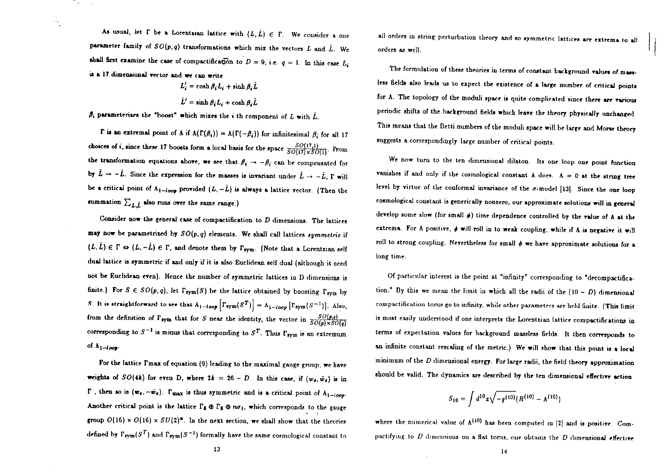As usual, let  $\Gamma$  be a Lorentzian lattice with  $(L, L) \in \Gamma$ . We consider a one parameter family of  $SO(p,q)$  transformations which mix the vectors L and  $\tilde{L}$ . We shall first examine the case of compactification to  $D=9$ , i.e.  $q=1$ . In this case  $L_i$ is a 17 dimensional vector and we can write

$$
L'_{i} = \cosh \beta_{i} L_{i} + \sinh \beta_{i} \tilde{L}
$$
  

$$
\tilde{L}' = \sinh \beta_{i} L_{i} + \cosh \beta_{i} \tilde{L}
$$

 $\beta_i$  parameterizes the "boost" which mixes the i th component of  $L$  with  $\dot{L}$ .

 $\mathcal{L}_{\mathcal{C}}$ 

 $\mathcal{A}_1$ 

 $\Gamma$  is an extremal point of  $\Lambda$  if  $\Lambda(\Gamma(\beta_i)) = \Lambda(\Gamma(-\beta_i))$  for infinitesimal  $\beta_i$  for all 17 choices of i, since these 17 boosts form a local basis for the space  $\frac{SO(17,1)}{SO(17)\times SO(1)}$ . From the transformation equations above, we see that  $\beta_i \rightarrow -\beta_i$  can be compensated for by  $\tilde{L} \to -\tilde{L}$ . Since the expression for the masses is invariant under  $\tilde{L} \to -\tilde{L}$ ,  $\Gamma$  will be a critical point of  $\Lambda_{1-loop}$  provided  $(L, -L)$  is always a lattice vector. (Then the summation  $\sum_{L,\hat{L}}$  also runs over the same range.)

Consider now the general case of compactification to  $D$  dimensions. The lattices may now be parametrized by  $SO(p,q)$  elements. We shall call lattices symmetric if  $(L, L) \in \Gamma \Leftrightarrow (L, -L) \in \Gamma$ , and denote them by  $\Gamma_{sym}$ . (Note that a Lorentzian self dual lattice is symmetric if and only if it is also Euclidean self dual (although it need not be Euclidean even). Hence the number of symmetric lattices in D dimensions is finite.) For  $S \in SO(p,q)$ , let  $\Gamma_{\text{sym}}(S)$  be the lattice obtained by boosting  $\Gamma_{\text{sym}}$  by S. It is straightforward to see that  $\Lambda_{1-loop}\left[\Gamma_{\text{sym}}(S^T)\right] = \Lambda_{1-loop}\left[\Gamma_{\text{sym}}(S^{-1})\right]$ . Also, from the definition of  $\Gamma_{sym}$  that for S near the identity, the vector in  $\frac{SO(p,q)}{SO(p)\times SO(q)}$ corresponding to  $S^{-1}$  is minus that corresponding to  $S^T$ . Thus  $\Gamma_{sym}$  is an extremum of  $\Lambda_{1-loop}$ .

For the lattice I'max of equation (9) leading to the maximal gauge group, we have weights of  $SO(4k)$  for even D, where  $2k = 26 - D$ . In this case, if  $(w_e, \tilde{w}_e)$  is in  $\Gamma$ , then so is  $(w_{\theta}, -\bar{w}_{\theta})$ .  $\Gamma_{\text{max}}$  is thus symmetric and is a critical point of  $\Lambda_{1-loop}$ . Another critical point is the lattice  $\Gamma_5 \oplus \Gamma_5 \oplus n\sigma_1$ , which corresponds to the gauge group  $O(16) \times O(16) \times SU(2)^n$ . In the next section, we shall show that the theories defined by  $\Gamma_{\text{sym}}(S^T)$  and  $\Gamma_{\text{sym}}(S^{-1})$  formally have the same cosmological constant to

all orders in string perturbation theory and so symmetric lattices are extrema to all orders as well.

The formulation of these theories in terms of constant background values of massless fields also leads us to expect the existence of a large number of critical points for A. The topology of the moduli space is quite complicated since there are various periodic shifts of the background fields which leave the theory physically unchanged This means that the Betti numbers of the moduli space will be large and Morse theory suggests a correspondingly large number of critical points.

We now turn to the ten dimensional dilaton. Its one loop one point function vanishes if and only if the cosmological constant  $\Lambda$  does.  $\Lambda = 0$  at the string tree level by virtue of the conformal invariance of the  $\sigma$ -model [13]. Since the one loop cosmological constant is generically nonzero, our approximate solutions will in general develop some slow (for small  $\phi$ ) time dependence controlled by the value of A at the extrema. For A positive,  $\phi$  will roll in to weak coupling, while if A is negative it will roll to strong coupling. Nevertheless for small  $\phi$  we have approximate solutions for a long time.

Of particular interest is the point at "infinity" corresponding to "decompactification." By this we mean the limit in which all the radii of the  $(10 - D)$  dimensional compactification torus go to infinity, while other parameters are held finite. (This limit is most easily understood if one interprets the Lorentzian lattice compactifications in terms of expectation values for background massless fields. It then corresponds to an infinite constant rescaling of the metric.) We will show that this point is a local minimum of the D dimensional energy. For large radii, the field theory approximation should be valid. The dynamics are described by the ten dimensional effective action

$$
S_{10} = \int d^{10}x \sqrt{-g^{(10)}} (R^{(10)} - \Lambda^{(10)})
$$

where the numerical value of  $\Lambda^{(10)}$  has been computed in [2] and is positive. Compactifying to  $D$  dimensions on a flat torus, one obtains the  $D$  dimensional effective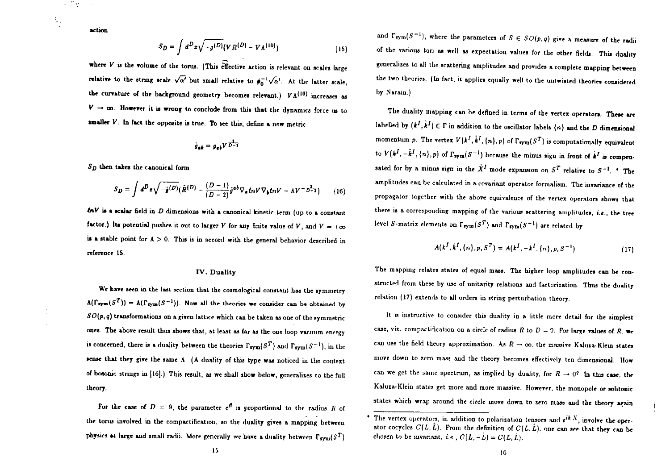action

 $\sim$  $\bar{\omega}$ 

 $\mathcal{O}_{\mathcal{O},\mathcal{O}}$ 

$$
S_D = \int d^D x \sqrt{-g^{(D)}} (V R^{(D)} - V A^{(10)}) \qquad (15)
$$

where  $V$  is the volume of the torus. (This effective action is relevant on scales large relative to the string scale  $\sqrt{\alpha'}$  but small relative to  $\phi_0^{-1}\sqrt{\alpha'}$ . At the latter scale, the curvature of the background geometry becomes relevant.)  $VA^{(10)}$  increases as  $V \rightarrow \infty$ . However it is wrong to conclude from this that the dynamics force us to smaller V. In fact the opposite is true. To see this, define a new metric

$$
\dot{g}_{ab} = g_{ab} V \, \overline{v^2} \overline{v}
$$

 $S_D$  then takes the canonical form

$$
S_D = \int d^D x \sqrt{-\hat{g}^{(D)}} (\hat{R}^{(D)} - \frac{(D-1)}{(D-2)} \hat{g}^{ab} \nabla_a \ln V \nabla_b \ln V - \Lambda V^{-\frac{1}{D-2}})
$$
 (16)

 $lnV$  is a scalar field in  $D$  dimensions with a canonical kinetic term (up to a constant factor.) Its potential pushes it out to larger V for any finite value of V, and  $V = +\infty$ is a stable point for  $A > 0$ . This is in accord with the general behavior described in reference 15.

#### IV. Duality

We have seen in the last section that the cosmological constant has the symmetry  $\Lambda(\Gamma_{\text{sym}}(S^T)) = \Lambda(\Gamma_{\text{sym}}(S^{-1}))$ . Now all the theories we consider can be obtained by  $SO(p,q)$  transformations on a given lattice which can be taken as one of the symmetric ones. The above result thus shows that, at least as far as the one loop vacuum energy is concerned, there is a duality between the theories  $\Gamma_{\text{sym}}(S^T)$  and  $\Gamma_{\text{sym}}(S^{-1})$ , in the sense that they give the same A. (A duality of this type was noticed in the context of bosonic strings in [16].) This result, as we shall show below, generalizes to the full theory.

For the case of  $D = 9$ , the parameter  $e^{\beta}$  is proportional to the radius R of the torus involved in the compactification, so the duality gives a mapping between physics at large and small radii. More generally we have a duality between  $\Gamma_{sym}(S^T)$ 

and  $\Gamma_{sym}(S^{-1})$ , where the parameters of  $S \in SO(p,q)$  give a measure of the radii of the various tori as well as expectation values for the other fields. This duality generalizes to all the scattering amplitudes and provides a complete mapping between the two theories. (In fact, it applies equally well to the untwisted theories considered by Narain.)

The duality mapping can be defined in terms of the vertex operators. These are labelled by  $(k^I, k^I) \in \Gamma$  in addition to the oscillator labels  $\{n\}$  and the D dimensional momentum p. The vertex  $V(k^I, k^I, \{n\}, p)$  of  $\Gamma_{\text{sym}}(S^T)$  is computationally equivalent to  $V(k^I, -\hat{k}^I, \{n\}, p)$  of  $\Gamma_{sym}(S^{-1})$  because the minus sign in front of  $\hat{k}^I$  is compensated for by a minus sign in the  $\tilde{X}^I$  mode expansion on  $S^T$  relative to  $S^{-1}$ . \* The amplitudes can be calculated in a covariant operator formalism. The invariance of the propagator together with the above equivalence of the vertex operators shows that there is a corresponding mapping of the various scattering amplitudes, i.e., the tree level S-matrix elements on  $\Gamma_{\rm sym}(S^T)$  and  $\Gamma_{\rm sym}(S^{-1})$  are related by

$$
A(k^I, k^I, \{n\}, p, S^T) = A(k^I, -k^I, \{n\}, p, S^{-1})
$$
\n(17)

The mapping relates states of equal mass. The higher loop amplitudes can be constructed from these by use of unitarity relations and factorization. Thus the duality relation (17) extends to all orders in string perturbation theory.

It is instructive to consider this duality in a little more detail for the simplest case, viz. compactification on a circle of radius R to  $D = 9$ . For large values of R, we can use the field theory approximation. As  $R \to \infty$ , the massive Kaluza-Klein states move down to zero mass and the theory becomes effectively ten dimensional. How can we get the same spectrum, as implied by duality, for  $R \rightarrow 0$ ? In this case, the Kaluza-Klein states get more and more massive. However, the monopole or solitonic states which wrap around the circle move down to zero mass and the theory again

The vertex operators, in addition to polarization tensors and  $e^{ikX}$ , involve the operator cocycles  $C(L, L)$ . From the definition of  $C(L, L)$ , one can see that they can be chosen to be invariant, i.e.,  $C(L, -L) = C(L, L)$ .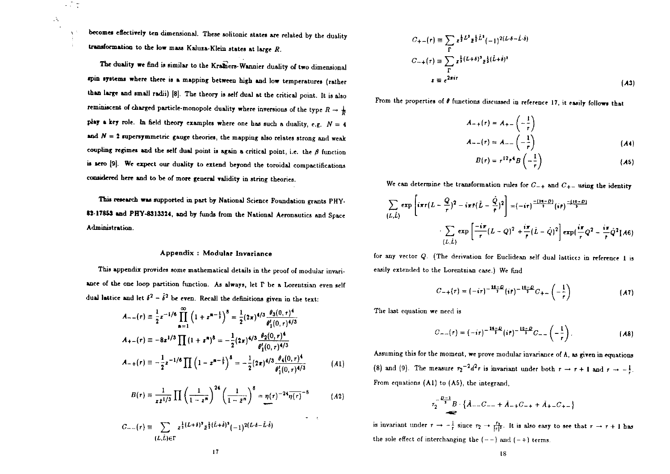becomes effectively ten dimensional. These solitonic states are related by the duality transformation to the low mass Kaluza-Klein states at large  $R$ .

 $\mathcal{L}^{\text{max}}_{\text{max}}$ 

 $\Delta_{\rm{L}}$ 

The duality we find is similar to the Kramers-Wannier duality of two dimensional spin systems where there is a mapping between high and low temperatures (rather than large and small radii) [8]. The theory is self dual at the critical point. It is also reminiscent of charged particle-monopole duality where inversions of the type  $R \rightarrow \frac{1}{R}$ play a key role. In field theory examples where one has such a duality, e.g.  $N = 4$ and  $N = 2$  supersymmetric gauge theories, the mapping also relates strong and weak coupling regimes and the self dual point is again a critical point, i.e. the  $\beta$  function is zero [9]. We expect our duality to extend beyond the toroidal compactifications considered here and to be of more general validity in string theories.

This research was supported in part by National Science Foundation grants PHY-82-17853 and PHY-8313324, and by funds from the National Aeronautics and Space Administration.

#### Appendix : Modular Invariance

This appendix provides some mathematical details in the proof of modular invariance of the one loop partition function. As always, let  $\Gamma$  be a Lorentzian even self dual lattice and let  $\delta^2 - \dot{\delta}^2$  be even. Recall the definitions given in the text:

$$
A_{--}(r) = \frac{1}{2}z^{-1/6}\prod_{n=1}^{\infty} \left(1 + z^{n-\frac{1}{2}}\right)^{5} = \frac{1}{2}(2\pi)^{4/3}\frac{\theta_{3}(0,r)^{4}}{\theta_{1}'(0,r)^{4/3}}
$$
  
\n
$$
A_{+-}(r) = -8z^{1/3}\prod_{n=1}^{\infty} (1 + z^{n})^{5} = -\frac{1}{2}(2\pi)^{4/3}\frac{\theta_{2}(0,r)^{4}}{\theta_{1}'(0,r)^{4/3}}
$$
  
\n
$$
A_{-+}(r) = -\frac{1}{2}z^{-1/6}\prod_{n=1}^{\infty} \left(1 - z^{n-\frac{1}{2}}\right)^{5} = -\frac{1}{2}(2\pi)^{4/3}\frac{\theta_{4}(0,r)^{4}}{\theta_{1}'(0,r)^{4/3}}
$$
(A1)

$$
B(r) = \frac{1}{z\,\bar{z}^{1/3}} \prod \left( \frac{1}{1-z^n} \right)^{24} \left( \frac{1}{1-\bar{z}^n} \right)^8 = \eta(r)^{-24} \overline{\eta(r)}^{-8} \qquad (A2)
$$

 $C_{++}(\tau) \equiv \sum_{(L,\tilde{L}) \in \Gamma} z^{\frac{1}{2}(L+\delta)^2} \bar{z}^{\frac{1}{2}(\tilde{L}+\tilde{\delta})^2} (-1)^{2(L \cdot \delta - \tilde{L} \cdot \tilde{\delta})}$ 

$$
C_{+-}(\tau) \equiv \sum_{\Gamma} z^{\frac{1}{2}L^2} z^{\frac{1}{2}\tilde{L}^2} (-1)^{2(L \cdot \delta - \tilde{L} \cdot \tilde{\delta})}
$$
  
\n
$$
C_{-+}(\tau) \equiv \sum_{\Gamma} z^{\frac{1}{2}(L + \delta)^2} z^{\frac{1}{2}(\tilde{L} + \tilde{\delta})^2}
$$
  
\n
$$
x \equiv e^{2\pi i \tau}
$$
 (A3)

From the properties of  $\theta$  functions discussed in reference 17, it easily follows that

$$
A_{-+}(r) = A_{+-}\left(-\frac{1}{r}\right)
$$
  

$$
A_{--}(r) = A_{--}\left(-\frac{1}{r}\right)
$$
  

$$
B(r) = r^{12}r^4B\left(-\frac{1}{r}\right)
$$
 (A5)

We can determine the transformation rules for  $C_{-+}$  and  $C_{+-}$  using the identity

$$
\sum_{\substack{(L,\tilde{L})}} \exp\left[i\pi r (L-\frac{Q}{r})^2 - i\pi r (\tilde{L}-\frac{\tilde{Q}}{r})^2\right] = (-i\tau)^{\frac{-(16-D)}{2}} (i\tau)^{\frac{-(10-D)}{2}}
$$
\n
$$
\sum_{\substack{(L,\tilde{L})}} \exp\left[\frac{-i\pi}{r} (L-Q)^2 + \frac{i\pi}{r} (\tilde{L}-\tilde{Q})^2\right] \exp\left(\frac{i\pi}{r} Q^2 - \frac{i\pi}{r} \tilde{Q}^2\right] A6
$$

for any vector Q. (The derivation for Euclidean self dual lattices in reference 1 is easily extended to the Lorentzian case.) We find

$$
C_{-+}(\tau) = (-i\tau)^{-\frac{2k-\rho}{2}}(i\tau)^{-\frac{12-\rho}{2}}C_{+-}\left(-\frac{1}{\tau}\right)
$$
 (A7)

The last equation we need is

$$
C_{--}(\mathbf{r}) = (-i\mathbf{r})^{-\frac{16-\rho}{2}}(i\mathbf{r})^{-\frac{10-\rho}{2}}C_{--}\left(-\frac{1}{r}\right).
$$
 (A8)

Assuming this for the moment, we prove modular invariance of  $\Lambda$ , as given in equations (8) and (9). The measure  $r_2^{-2}d^2r$  is invariant under both  $r \rightarrow r+1$  and  $r \rightarrow -\frac{1}{r}$ . From equations (A1) to (A5), the integrand,

$$
\tau_2^{-\frac{D-1}{1}}B \cdot \{ \bar{A}_{--}C_{--} + \bar{A}_{-+}C_{-+} + \bar{A}_{+-}C_{+-} \}
$$

is invariant under  $r \to -\frac{1}{r}$  since  $r_2 \to \frac{r_2}{|r|^2}$ . It is also easy to see that  $r \to r + 1$  has the sole effect of interchanging the  $(--)$  and  $(-+)$  terms.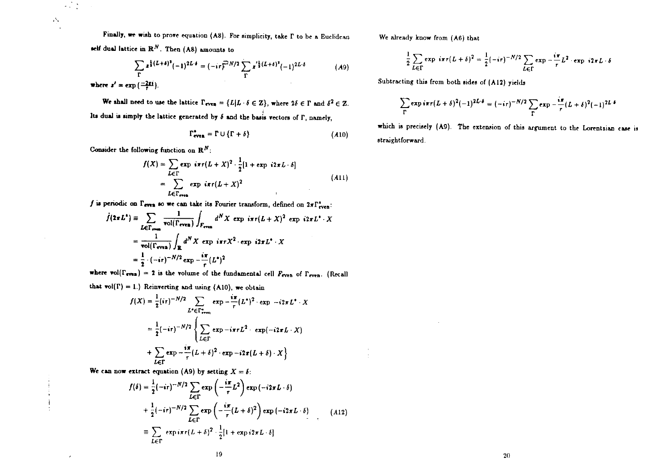$$
= \frac{1}{2}(-i\tau)^{-N/2} \left\{ \sum_{L\in\Gamma} \exp{-i\pi\tau L^2} \cdot \exp(-i2\pi L \cdot X) \right\}
$$
  
+  $\sum_{L\in\Gamma} \exp{-\frac{i\pi}{r}(L+\delta)^2} \cdot \exp{-i2\pi(L+\delta)} \cdot X \right\}$   
extract equation (A9) by setting  $X = \delta$ :  

$$
f(\delta) = \frac{1}{2}(-i\tau)^{-N/2} \sum_{L\in\Gamma} \exp(-\frac{i\pi}{r}L^2) \exp(-i2\pi L \cdot \delta)
$$

$$
+ \frac{1}{2}(-i\tau)^{-N/2} \sum_{L\in\Gamma} \exp(-\frac{i\pi}{r}(L+\delta)^2) \exp(-i2\pi L \cdot \delta)
$$

$$
\equiv \sum_{L\in\Gamma} \exp{i\pi\tau(L+\delta)^2} \cdot \frac{1}{2}[1 + \exp{i2\pi L \cdot \delta}]
$$
(A12)  
19

rol( $\Gamma_{even}$ ) = 2 is the volume of the fundamental cell  $F_{even}$  of  $\Gamma_{even}$ . (Recall where

 $f(X) = \frac{1}{2}(i\tau)^{-N/2} \sum_{L^* \in \Gamma_{\text{tran}}^*} \exp{-\frac{i\pi}{\tau}(L^*)^2} \cdot \exp{-i2\pi L^* \cdot X}$ 

that  $vol(\Gamma) = 1$ .) Reinverting and using (A10), we obtain

 $\ddot{\mathbf{r}}$ 

We can now

$$
\hat{f}(2\pi L^*) \equiv \sum_{L \in \Gamma_{\text{even}}} \frac{1}{\text{vol}(\Gamma_{\text{even}})} \int_{F_{\text{even}}} d^N X \exp i\pi r (L+X)^2 \exp i2\pi L
$$

$$
= \frac{1}{\text{vol}(\Gamma_{\text{even}})} \int_{\mathbb{R}} d^N X \exp i\pi r X^2 \exp i2\pi L^* \cdot X
$$

$$
= \frac{1}{2} \cdot (-ir)^{-N/2} \exp{-\frac{i\pi}{r} (L^*)^2}
$$

$$
\text{vol}(\Gamma_{\text{even}}) = 2 \text{ is the volume of the fundamental cell } F_{\text{even}} \text{ of } \Gamma.
$$

 $f$  is  $I$ a:

periodic on 
$$
\Gamma_{\text{even}}
$$
 so we can take its Fourier transform, defined on  $2\pi \Gamma_{\text{even}}^*$ :  
\n
$$
\hat{f}(2\pi L^*) \equiv \sum_{L \in \Gamma_{\text{even}}} \frac{1}{\text{vol}(\Gamma_{\text{even}})} \int_{F_{\text{even}}} d^N X \exp i\pi r (L+X)^2 \exp i2\pi L^* \cdot X
$$
\n
$$
= \frac{1}{\text{vol}(\Gamma_{\text{even}})} \int_{\mathbb{R}} d^N X \exp i\pi r X^2 \cdot \exp i2\pi L^* \cdot X
$$
\n
$$
= \frac{1}{2} \cdot (-i\pi)^{-N/2} \exp{-\frac{i\pi}{2}} (L^*)^2
$$

$$
f(X) = \sum_{L \in \Gamma} \exp \, i\pi r (L + X)^2 \cdot \frac{1}{2} [1 + \exp \, i2\pi L \cdot \delta]
$$
  
= 
$$
\sum_{L \in \Gamma_{\text{even}}} \exp \, i\pi r (L + X)^2
$$
 (A11)

$$
J(X) = \sum_{L \in \Gamma} \exp i \pi r (L + X)^* \cdot \frac{1}{2} [1 + \exp i 2\pi L \cdot \delta]
$$

We shall need to use the lattice  $\Gamma_{even} = \{L|L \cdot \delta \in \mathbb{Z}\}\,$ , where  $2\delta \in \Gamma$  and  $\delta^2 \in \mathbb{Z}$ .

Its dual is simply the lattice generated by  $\delta$  and the basis vectors of  $\Gamma$ , namely,

$$
\Gamma_{even}^* = \Gamma \cup \{\Gamma + \delta\}
$$
 (A10)  
Consider the following function on  $\mathbb{R}^N$ :

$$
\sum_{\Gamma} z^{\frac{1}{2}(L+i)^3}(-1)^{2L\cdot\delta} = (-i\tau)^{-N/2}\sum_{\Gamma} z'^{\frac{1}{2}(L+i)^3}(-1)^{2L\cdot\delta} \qquad (A9)
$$

Subtracting this from both sides of (A12) yields

We already know from (A6) that

$$
\sum_{\Gamma} \exp i \pi r (L + \delta)^2 (-1)^{2L \cdot \delta} = (-i\tau)^{-N/2} \sum_{\Gamma} \exp -\frac{i \pi}{r} (L + \delta)^2 (-1)^{2L \cdot \delta}
$$

which is precisely (A9). The extension of this argument to the Lorentzian case is straightforward.

20

Finally, we wish to prove equation (A8). For simplicity, take  $\Gamma$  to be a Euclidean self dual lattice in  $\mathbb{R}^N$ . Then (A8) amounts to

 $\mathcal{L}^{(1)}$  ,  $\mathcal{L}$ 

where  $s' = \exp\left(\frac{-2\pi i}{r}\right)$ .